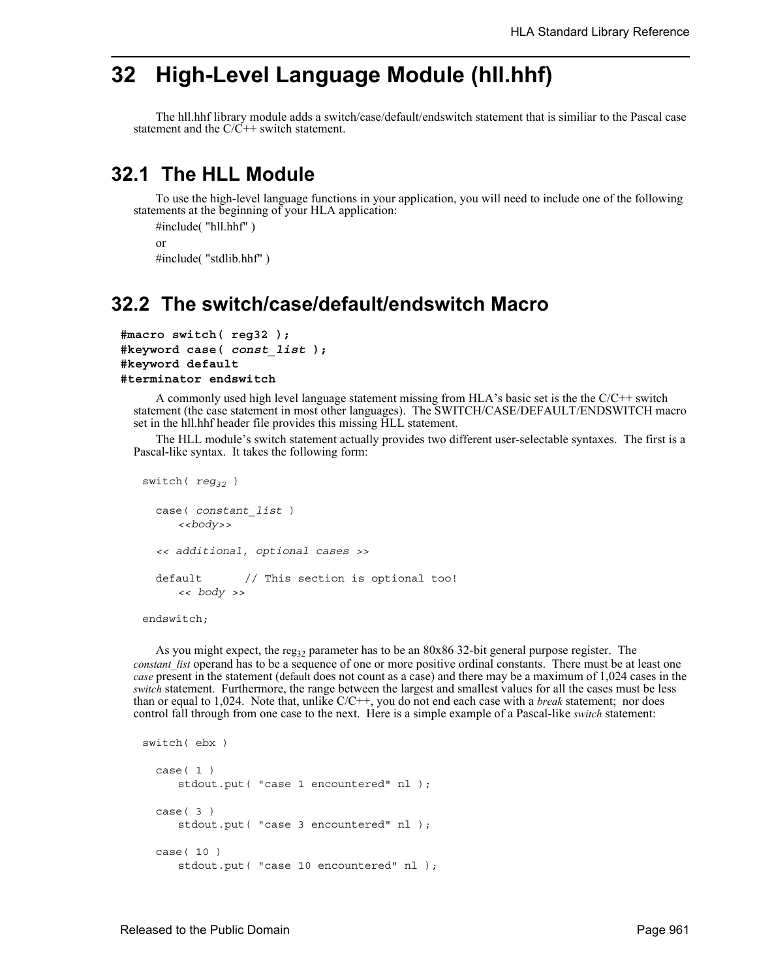## **32 High-Level Language Module (hll.hhf)**

The hll.hhf library module adds a switch/case/default/endswitch statement that is similiar to the Pascal case statement and the  $C/\tilde{C}$ ++ switch statement.

## **32.1 The HLL Module**

To use the high-level language functions in your application, you will need to include one of the following statements at the beginning of your HLA application:

```
#include( "hll.hhf" )
or
#include( "stdlib.hhf" )
```
## **32.2 The switch/case/default/endswitch Macro**

```
#macro switch( reg32 );
#keyword case( const_list );
#keyword default
#terminator endswitch
```
A commonly used high level language statement missing from HLA's basic set is the the  $C/C++$  switch statement (the case statement in most other languages). The SWITCH/CASE/DEFAULT/ENDSWITCH macro set in the hll.hhf header file provides this missing HLL statement.

The HLL module's switch statement actually provides two different user-selectable syntaxes. The first is a Pascal-like syntax. It takes the following form:

```
switch( reg_{32} )
 case( constant_list )
     <<body>>
  << additional, optional cases >>
 default // This section is optional too!
     << body >>
```
endswitch;

As you might expect, the reg<sub>32</sub> parameter has to be an 80x86 32-bit general purpose register. The *constant list* operand has to be a sequence of one or more positive ordinal constants. There must be at least one *case* present in the statement (default does not count as a case) and there may be a maximum of 1,024 cases in the *switch* statement. Furthermore, the range between the largest and smallest values for all the cases must be less than or equal to 1,024. Note that, unlike C/C++, you do not end each case with a *break* statement; nor does control fall through from one case to the next. Here is a simple example of a Pascal-like *switch* statement:

```
switch( ebx )
  case( 1 )
     stdout.put( "case 1 encountered" nl );
  case( 3 )
     stdout.put( "case 3 encountered" nl );
  case( 10 )
     stdout.put( "case 10 encountered" nl );
```